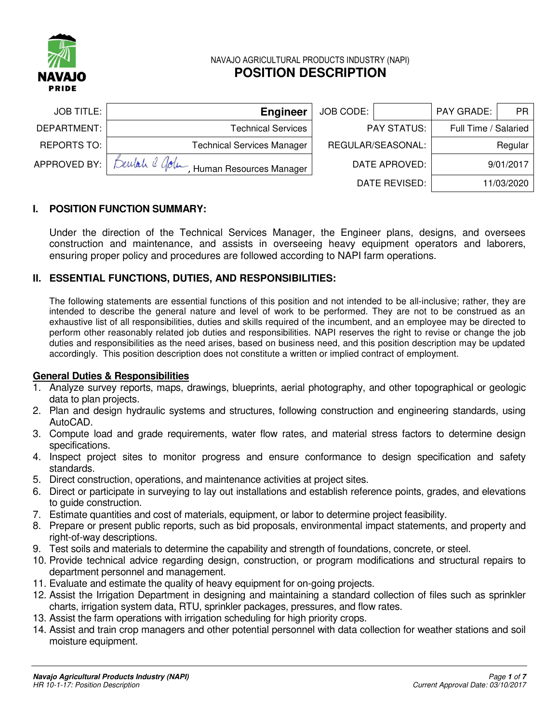

## NAVAJO AGRICULTURAL PRODUCTS INDUSTRY (NAPI) **POSITION DESCRIPTION**

| PAY GRADE:<br><b>PR</b> | JOB CODE:          | <b>Engineer</b>                       | <b>JOB TITLE:</b>  |
|-------------------------|--------------------|---------------------------------------|--------------------|
| Full Time / Salaried    | <b>PAY STATUS:</b> | <b>Technical Services</b>             | DEPARTMENT: I      |
| Regular                 | REGULAR/SEASONAL:  | <b>Technical Services Manager</b>     | <b>REPORTS TO:</b> |
| 9/01/2017               | DATE APROVED:      | Builah 2 Golf Human Resources Manager | APPROVED BY:       |
| 11/03/2020              | DATE REVISED:      |                                       |                    |

## **I. POSITION FUNCTION SUMMARY:**

Under the direction of the Technical Services Manager, the Engineer plans, designs, and oversees construction and maintenance, and assists in overseeing heavy equipment operators and laborers, ensuring proper policy and procedures are followed according to NAPI farm operations.

### **II. ESSENTIAL FUNCTIONS, DUTIES, AND RESPONSIBILITIES:**

The following statements are essential functions of this position and not intended to be all-inclusive; rather, they are intended to describe the general nature and level of work to be performed. They are not to be construed as an exhaustive list of all responsibilities, duties and skills required of the incumbent, and an employee may be directed to perform other reasonably related job duties and responsibilities. NAPI reserves the right to revise or change the job duties and responsibilities as the need arises, based on business need, and this position description may be updated accordingly. This position description does not constitute a written or implied contract of employment.

#### **General Duties & Responsibilities**

- 1. Analyze survey reports, maps, drawings, blueprints, aerial photography, and other topographical or geologic data to plan projects.
- 2. Plan and design hydraulic systems and structures, following construction and engineering standards, using AutoCAD.
- 3. Compute load and grade requirements, water flow rates, and material stress factors to determine design specifications.
- 4. Inspect project sites to monitor progress and ensure conformance to design specification and safety standards.
- 5. Direct construction, operations, and maintenance activities at project sites.
- 6. Direct or participate in surveying to lay out installations and establish reference points, grades, and elevations to guide construction.
- 7. Estimate quantities and cost of materials, equipment, or labor to determine project feasibility.
- 8. Prepare or present public reports, such as bid proposals, environmental impact statements, and property and right-of-way descriptions.
- 9. Test soils and materials to determine the capability and strength of foundations, concrete, or steel.
- 10. Provide technical advice regarding design, construction, or program modifications and structural repairs to department personnel and management.
- 11. Evaluate and estimate the quality of heavy equipment for on-going projects.
- 12. Assist the Irrigation Department in designing and maintaining a standard collection of files such as sprinkler charts, irrigation system data, RTU, sprinkler packages, pressures, and flow rates.
- 13. Assist the farm operations with irrigation scheduling for high priority crops.
- 14. Assist and train crop managers and other potential personnel with data collection for weather stations and soil moisture equipment.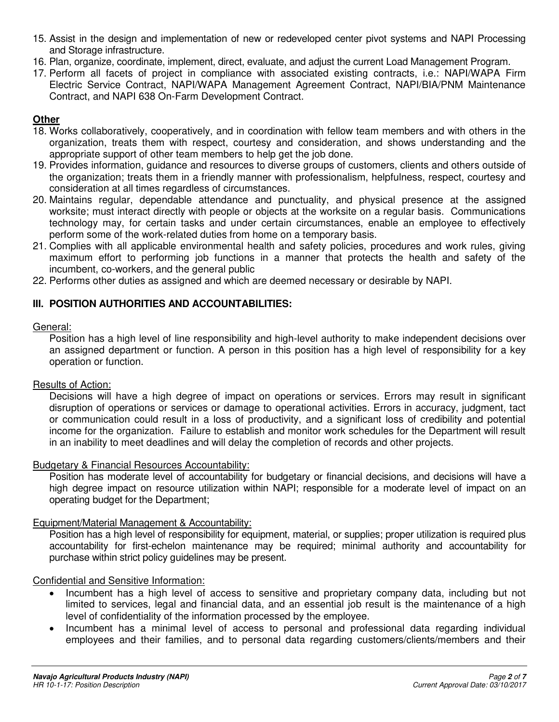- 15. Assist in the design and implementation of new or redeveloped center pivot systems and NAPI Processing and Storage infrastructure.
- 16. Plan, organize, coordinate, implement, direct, evaluate, and adjust the current Load Management Program.
- 17. Perform all facets of project in compliance with associated existing contracts, i.e.: NAPI/WAPA Firm Electric Service Contract, NAPI/WAPA Management Agreement Contract, NAPI/BIA/PNM Maintenance Contract, and NAPI 638 On-Farm Development Contract.

## **Other**

- 18. Works collaboratively, cooperatively, and in coordination with fellow team members and with others in the organization, treats them with respect, courtesy and consideration, and shows understanding and the appropriate support of other team members to help get the job done.
- 19. Provides information, guidance and resources to diverse groups of customers, clients and others outside of the organization; treats them in a friendly manner with professionalism, helpfulness, respect, courtesy and consideration at all times regardless of circumstances.
- 20. Maintains regular, dependable attendance and punctuality, and physical presence at the assigned worksite; must interact directly with people or objects at the worksite on a regular basis. Communications technology may, for certain tasks and under certain circumstances, enable an employee to effectively perform some of the work-related duties from home on a temporary basis.
- 21. Complies with all applicable environmental health and safety policies, procedures and work rules, giving maximum effort to performing job functions in a manner that protects the health and safety of the incumbent, co-workers, and the general public
- 22. Performs other duties as assigned and which are deemed necessary or desirable by NAPI.

# **III. POSITION AUTHORITIES AND ACCOUNTABILITIES:**

## General:

Position has a high level of line responsibility and high-level authority to make independent decisions over an assigned department or function. A person in this position has a high level of responsibility for a key operation or function.

## Results of Action:

Decisions will have a high degree of impact on operations or services. Errors may result in significant disruption of operations or services or damage to operational activities. Errors in accuracy, judgment, tact or communication could result in a loss of productivity, and a significant loss of credibility and potential income for the organization. Failure to establish and monitor work schedules for the Department will result in an inability to meet deadlines and will delay the completion of records and other projects.

## Budgetary & Financial Resources Accountability:

Position has moderate level of accountability for budgetary or financial decisions, and decisions will have a high degree impact on resource utilization within NAPI; responsible for a moderate level of impact on an operating budget for the Department;

## Equipment/Material Management & Accountability:

Position has a high level of responsibility for equipment, material, or supplies; proper utilization is required plus accountability for first-echelon maintenance may be required; minimal authority and accountability for purchase within strict policy guidelines may be present.

## Confidential and Sensitive Information:

- Incumbent has a high level of access to sensitive and proprietary company data, including but not limited to services, legal and financial data, and an essential job result is the maintenance of a high level of confidentiality of the information processed by the employee.
- Incumbent has a minimal level of access to personal and professional data regarding individual employees and their families, and to personal data regarding customers/clients/members and their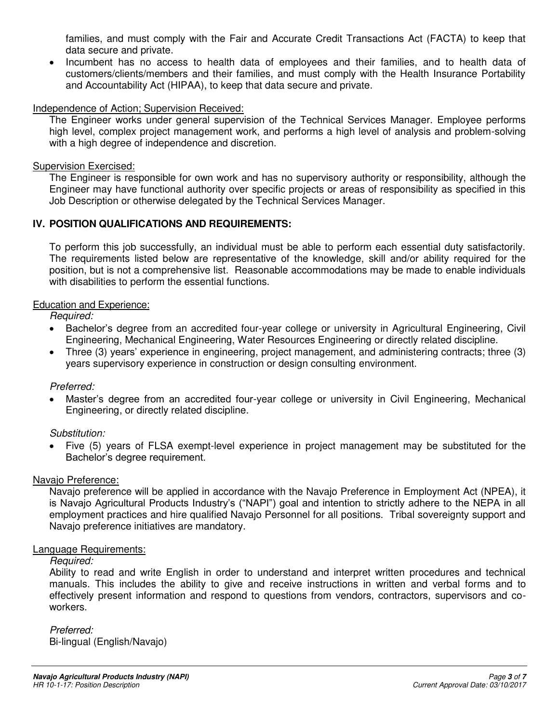families, and must comply with the Fair and Accurate Credit Transactions Act (FACTA) to keep that data secure and private.

 Incumbent has no access to health data of employees and their families, and to health data of customers/clients/members and their families, and must comply with the Health Insurance Portability and Accountability Act (HIPAA), to keep that data secure and private.

### Independence of Action; Supervision Received:

The Engineer works under general supervision of the Technical Services Manager. Employee performs high level, complex project management work, and performs a high level of analysis and problem-solving with a high degree of independence and discretion.

#### Supervision Exercised:

The Engineer is responsible for own work and has no supervisory authority or responsibility, although the Engineer may have functional authority over specific projects or areas of responsibility as specified in this Job Description or otherwise delegated by the Technical Services Manager.

### **IV. POSITION QUALIFICATIONS AND REQUIREMENTS:**

To perform this job successfully, an individual must be able to perform each essential duty satisfactorily. The requirements listed below are representative of the knowledge, skill and/or ability required for the position, but is not a comprehensive list. Reasonable accommodations may be made to enable individuals with disabilities to perform the essential functions.

#### Education and Experience:

Required:

- Bachelor's degree from an accredited four-year college or university in Agricultural Engineering, Civil Engineering, Mechanical Engineering, Water Resources Engineering or directly related discipline.
- Three (3) years' experience in engineering, project management, and administering contracts; three (3) years supervisory experience in construction or design consulting environment.

#### Preferred:

 Master's degree from an accredited four-year college or university in Civil Engineering, Mechanical Engineering, or directly related discipline.

#### Substitution:

 Five (5) years of FLSA exempt-level experience in project management may be substituted for the Bachelor's degree requirement.

#### Navajo Preference:

Navajo preference will be applied in accordance with the Navajo Preference in Employment Act (NPEA), it is Navajo Agricultural Products Industry's ("NAPI") goal and intention to strictly adhere to the NEPA in all employment practices and hire qualified Navajo Personnel for all positions. Tribal sovereignty support and Navajo preference initiatives are mandatory.

#### Language Requirements:

#### Required:

Ability to read and write English in order to understand and interpret written procedures and technical manuals. This includes the ability to give and receive instructions in written and verbal forms and to effectively present information and respond to questions from vendors, contractors, supervisors and coworkers.

 Preferred: Bi-lingual (English/Navajo)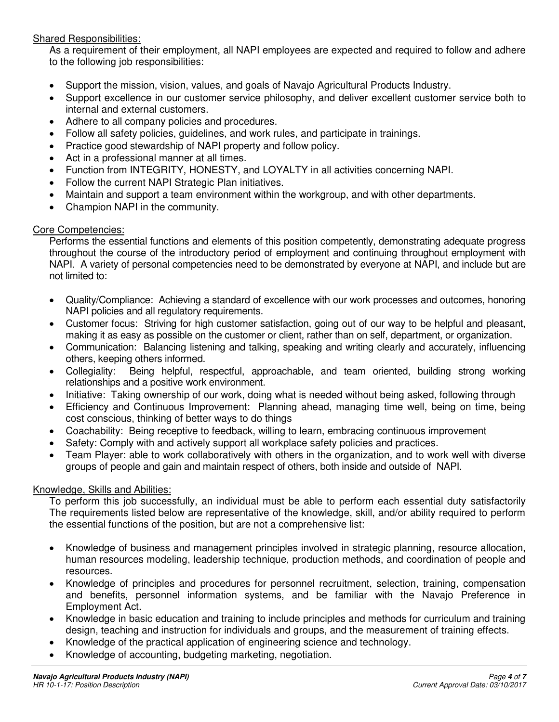### Shared Responsibilities:

As a requirement of their employment, all NAPI employees are expected and required to follow and adhere to the following job responsibilities:

- Support the mission, vision, values, and goals of Navajo Agricultural Products Industry.
- Support excellence in our customer service philosophy, and deliver excellent customer service both to internal and external customers.
- Adhere to all company policies and procedures.
- Follow all safety policies, guidelines, and work rules, and participate in trainings.
- Practice good stewardship of NAPI property and follow policy.
- Act in a professional manner at all times.
- Function from INTEGRITY, HONESTY, and LOYALTY in all activities concerning NAPI.
- Follow the current NAPI Strategic Plan initiatives.
- Maintain and support a team environment within the workgroup, and with other departments.
- Champion NAPI in the community.

#### Core Competencies:

Performs the essential functions and elements of this position competently, demonstrating adequate progress throughout the course of the introductory period of employment and continuing throughout employment with NAPI. A variety of personal competencies need to be demonstrated by everyone at NAPI, and include but are not limited to:

- Quality/Compliance: Achieving a standard of excellence with our work processes and outcomes, honoring NAPI policies and all regulatory requirements.
- Customer focus: Striving for high customer satisfaction, going out of our way to be helpful and pleasant, making it as easy as possible on the customer or client, rather than on self, department, or organization.
- Communication: Balancing listening and talking, speaking and writing clearly and accurately, influencing others, keeping others informed.
- Collegiality: Being helpful, respectful, approachable, and team oriented, building strong working relationships and a positive work environment.
- Initiative: Taking ownership of our work, doing what is needed without being asked, following through
- Efficiency and Continuous Improvement: Planning ahead, managing time well, being on time, being cost conscious, thinking of better ways to do things
- Coachability: Being receptive to feedback, willing to learn, embracing continuous improvement
- Safety: Comply with and actively support all workplace safety policies and practices.
- Team Player: able to work collaboratively with others in the organization, and to work well with diverse groups of people and gain and maintain respect of others, both inside and outside of NAPI.

#### Knowledge, Skills and Abilities:

To perform this job successfully, an individual must be able to perform each essential duty satisfactorily The requirements listed below are representative of the knowledge, skill, and/or ability required to perform the essential functions of the position, but are not a comprehensive list:

- Knowledge of business and management principles involved in strategic planning, resource allocation, human resources modeling, leadership technique, production methods, and coordination of people and resources.
- Knowledge of principles and procedures for personnel recruitment, selection, training, compensation and benefits, personnel information systems, and be familiar with the Navajo Preference in Employment Act.
- Knowledge in basic education and training to include principles and methods for curriculum and training design, teaching and instruction for individuals and groups, and the measurement of training effects.
- Knowledge of the practical application of engineering science and technology.
- Knowledge of accounting, budgeting marketing, negotiation.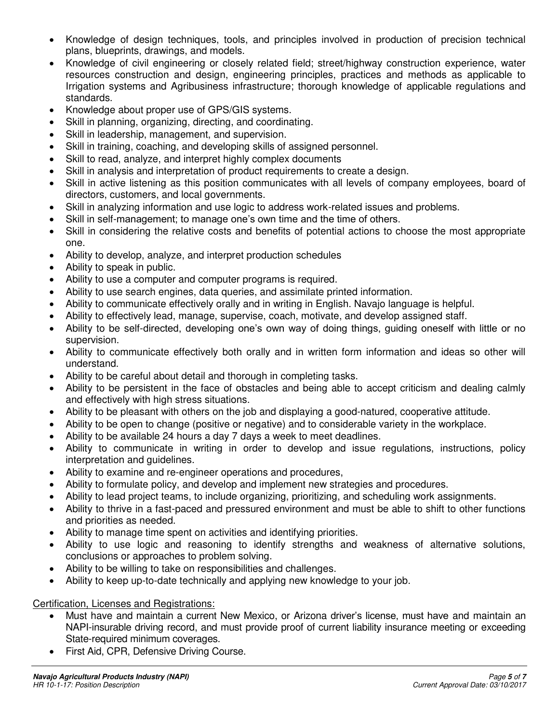- Knowledge of design techniques, tools, and principles involved in production of precision technical plans, blueprints, drawings, and models.
- Knowledge of civil engineering or closely related field; street/highway construction experience, water resources construction and design, engineering principles, practices and methods as applicable to Irrigation systems and Agribusiness infrastructure; thorough knowledge of applicable regulations and standards.
- Knowledge about proper use of GPS/GIS systems.
- Skill in planning, organizing, directing, and coordinating.
- Skill in leadership, management, and supervision.
- Skill in training, coaching, and developing skills of assigned personnel.
- Skill to read, analyze, and interpret highly complex documents
- Skill in analysis and interpretation of product requirements to create a design.
- Skill in active listening as this position communicates with all levels of company employees, board of directors, customers, and local governments.
- Skill in analyzing information and use logic to address work-related issues and problems.
- Skill in self-management; to manage one's own time and the time of others.
- Skill in considering the relative costs and benefits of potential actions to choose the most appropriate one.
- Ability to develop, analyze, and interpret production schedules
- Ability to speak in public.
- Ability to use a computer and computer programs is required.
- Ability to use search engines, data queries, and assimilate printed information.
- Ability to communicate effectively orally and in writing in English. Navajo language is helpful.
- Ability to effectively lead, manage, supervise, coach, motivate, and develop assigned staff.
- Ability to be self-directed, developing one's own way of doing things, guiding oneself with little or no supervision.
- Ability to communicate effectively both orally and in written form information and ideas so other will understand.
- Ability to be careful about detail and thorough in completing tasks.
- Ability to be persistent in the face of obstacles and being able to accept criticism and dealing calmly and effectively with high stress situations.
- Ability to be pleasant with others on the job and displaying a good-natured, cooperative attitude.
- Ability to be open to change (positive or negative) and to considerable variety in the workplace.
- Ability to be available 24 hours a day 7 days a week to meet deadlines.
- Ability to communicate in writing in order to develop and issue regulations, instructions, policy interpretation and guidelines.
- Ability to examine and re-engineer operations and procedures,
- Ability to formulate policy, and develop and implement new strategies and procedures.
- Ability to lead project teams, to include organizing, prioritizing, and scheduling work assignments.
- Ability to thrive in a fast-paced and pressured environment and must be able to shift to other functions and priorities as needed.
- Ability to manage time spent on activities and identifying priorities.
- Ability to use logic and reasoning to identify strengths and weakness of alternative solutions, conclusions or approaches to problem solving.
- Ability to be willing to take on responsibilities and challenges.
- Ability to keep up-to-date technically and applying new knowledge to your job.

## Certification, Licenses and Registrations:

- Must have and maintain a current New Mexico, or Arizona driver's license, must have and maintain an NAPI-insurable driving record, and must provide proof of current liability insurance meeting or exceeding State-required minimum coverages.
- First Aid, CPR, Defensive Driving Course.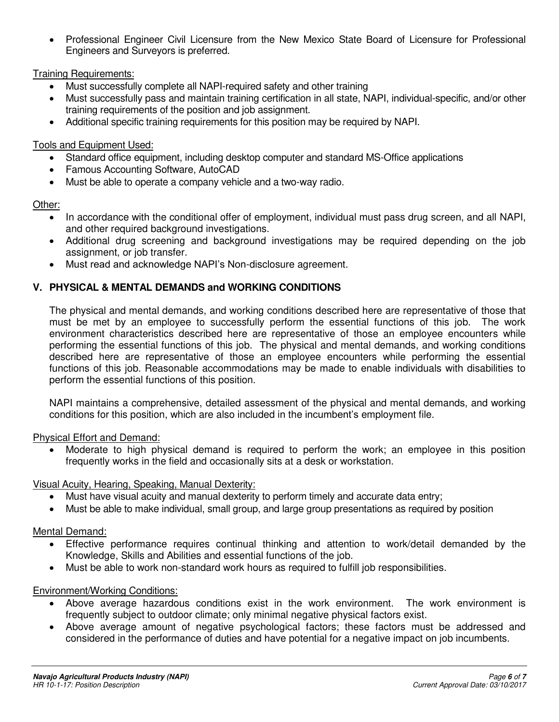Professional Engineer Civil Licensure from the New Mexico State Board of Licensure for Professional Engineers and Surveyors is preferred.

Training Requirements:

- Must successfully complete all NAPI-required safety and other training
- Must successfully pass and maintain training certification in all state, NAPI, individual-specific, and/or other training requirements of the position and job assignment.
- Additional specific training requirements for this position may be required by NAPI.

## Tools and Equipment Used:

- Standard office equipment, including desktop computer and standard MS-Office applications
- Famous Accounting Software, AutoCAD
- Must be able to operate a company vehicle and a two-way radio.

# Other:

- In accordance with the conditional offer of employment, individual must pass drug screen, and all NAPI, and other required background investigations.
- Additional drug screening and background investigations may be required depending on the job assignment, or job transfer.
- Must read and acknowledge NAPI's Non-disclosure agreement.

# **V. PHYSICAL & MENTAL DEMANDS and WORKING CONDITIONS**

The physical and mental demands, and working conditions described here are representative of those that must be met by an employee to successfully perform the essential functions of this job. The work environment characteristics described here are representative of those an employee encounters while performing the essential functions of this job. The physical and mental demands, and working conditions described here are representative of those an employee encounters while performing the essential functions of this job. Reasonable accommodations may be made to enable individuals with disabilities to perform the essential functions of this position.

NAPI maintains a comprehensive, detailed assessment of the physical and mental demands, and working conditions for this position, which are also included in the incumbent's employment file.

# Physical Effort and Demand:

 Moderate to high physical demand is required to perform the work; an employee in this position frequently works in the field and occasionally sits at a desk or workstation.

# Visual Acuity, Hearing, Speaking, Manual Dexterity:

- Must have visual acuity and manual dexterity to perform timely and accurate data entry;
- Must be able to make individual, small group, and large group presentations as required by position

# Mental Demand:

- Effective performance requires continual thinking and attention to work/detail demanded by the Knowledge, Skills and Abilities and essential functions of the job.
- Must be able to work non-standard work hours as required to fulfill job responsibilities.

# Environment/Working Conditions:

- Above average hazardous conditions exist in the work environment. The work environment is frequently subject to outdoor climate; only minimal negative physical factors exist.
- Above average amount of negative psychological factors; these factors must be addressed and considered in the performance of duties and have potential for a negative impact on job incumbents.